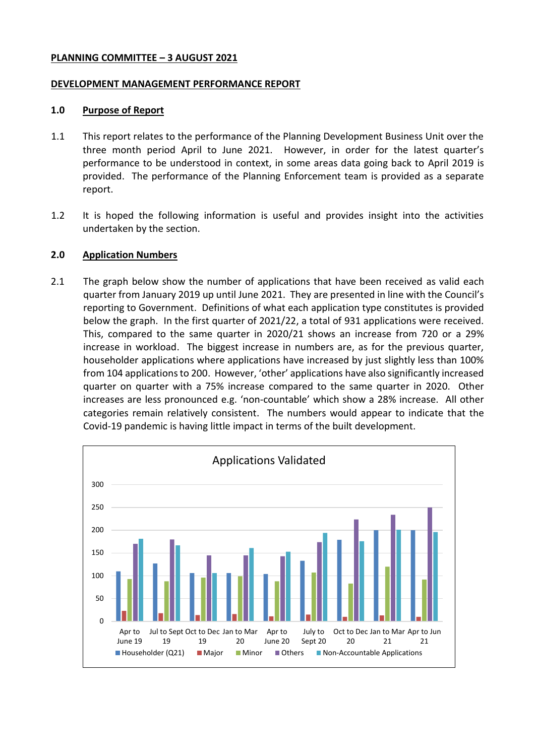### **PLANNING COMMITTEE – 3 AUGUST 2021**

#### **DEVELOPMENT MANAGEMENT PERFORMANCE REPORT**

#### **1.0 Purpose of Report**

- 1.1 This report relates to the performance of the Planning Development Business Unit over the three month period April to June 2021. However, in order for the latest quarter's performance to be understood in context, in some areas data going back to April 2019 is provided. The performance of the Planning Enforcement team is provided as a separate report.
- 1.2 It is hoped the following information is useful and provides insight into the activities undertaken by the section.

# **2.0 Application Numbers**

2.1 The graph below show the number of applications that have been received as valid each quarter from January 2019 up until June 2021. They are presented in line with the Council's reporting to Government. Definitions of what each application type constitutes is provided below the graph. In the first quarter of 2021/22, a total of 931 applications were received. This, compared to the same quarter in 2020/21 shows an increase from 720 or a 29% increase in workload. The biggest increase in numbers are, as for the previous quarter, householder applications where applications have increased by just slightly less than 100% from 104 applications to 200. However, 'other' applications have also significantly increased quarter on quarter with a 75% increase compared to the same quarter in 2020. Other increases are less pronounced e.g. 'non-countable' which show a 28% increase. All other categories remain relatively consistent. The numbers would appear to indicate that the Covid-19 pandemic is having little impact in terms of the built development.

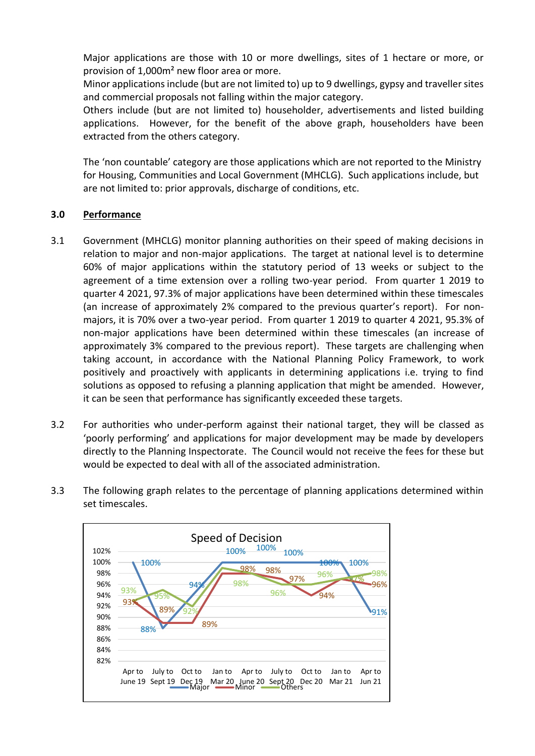Major applications are those with 10 or more dwellings, sites of 1 hectare or more, or provision of 1,000m² new floor area or more.

Minor applications include (but are not limited to) up to 9 dwellings, gypsy and traveller sites and commercial proposals not falling within the major category.

Others include (but are not limited to) householder, advertisements and listed building applications. However, for the benefit of the above graph, householders have been extracted from the others category.

The 'non countable' category are those applications which are not reported to the Ministry for Housing, Communities and Local Government (MHCLG). Such applications include, but are not limited to: prior approvals, discharge of conditions, etc.

# **3.0 Performance**

- 3.1 Government (MHCLG) monitor planning authorities on their speed of making decisions in relation to major and non-major applications. The target at national level is to determine 60% of major applications within the statutory period of 13 weeks or subject to the agreement of a time extension over a rolling two-year period. From quarter 1 2019 to quarter 4 2021, 97.3% of major applications have been determined within these timescales (an increase of approximately 2% compared to the previous quarter's report). For nonmajors, it is 70% over a two-year period. From quarter 1 2019 to quarter 4 2021, 95.3% of non-major applications have been determined within these timescales (an increase of approximately 3% compared to the previous report). These targets are challenging when taking account, in accordance with the National Planning Policy Framework, to work positively and proactively with applicants in determining applications i.e. trying to find solutions as opposed to refusing a planning application that might be amended. However, it can be seen that performance has significantly exceeded these targets.
- 3.2 For authorities who under-perform against their national target, they will be classed as 'poorly performing' and applications for major development may be made by developers directly to the Planning Inspectorate. The Council would not receive the fees for these but would be expected to deal with all of the associated administration.
- 3.3 The following graph relates to the percentage of planning applications determined within set timescales.

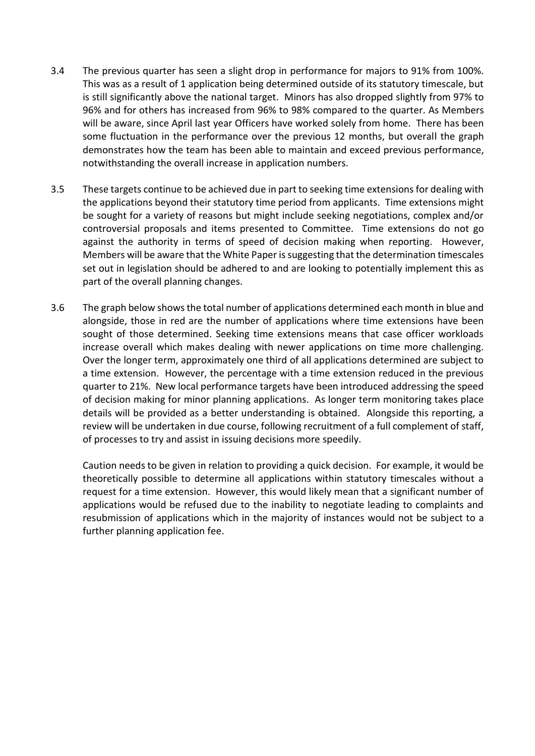- 3.4 The previous quarter has seen a slight drop in performance for majors to 91% from 100%. This was as a result of 1 application being determined outside of its statutory timescale, but is still significantly above the national target. Minors has also dropped slightly from 97% to 96% and for others has increased from 96% to 98% compared to the quarter. As Members will be aware, since April last year Officers have worked solely from home. There has been some fluctuation in the performance over the previous 12 months, but overall the graph demonstrates how the team has been able to maintain and exceed previous performance, notwithstanding the overall increase in application numbers.
- 3.5 These targets continue to be achieved due in part to seeking time extensions for dealing with the applications beyond their statutory time period from applicants. Time extensions might be sought for a variety of reasons but might include seeking negotiations, complex and/or controversial proposals and items presented to Committee. Time extensions do not go against the authority in terms of speed of decision making when reporting. However, Members will be aware that the White Paper is suggesting that the determination timescales set out in legislation should be adhered to and are looking to potentially implement this as part of the overall planning changes.
- 3.6 The graph below shows the total number of applications determined each month in blue and alongside, those in red are the number of applications where time extensions have been sought of those determined. Seeking time extensions means that case officer workloads increase overall which makes dealing with newer applications on time more challenging. Over the longer term, approximately one third of all applications determined are subject to a time extension. However, the percentage with a time extension reduced in the previous quarter to 21%. New local performance targets have been introduced addressing the speed of decision making for minor planning applications. As longer term monitoring takes place details will be provided as a better understanding is obtained. Alongside this reporting, a review will be undertaken in due course, following recruitment of a full complement of staff, of processes to try and assist in issuing decisions more speedily.

Caution needs to be given in relation to providing a quick decision. For example, it would be theoretically possible to determine all applications within statutory timescales without a request for a time extension. However, this would likely mean that a significant number of applications would be refused due to the inability to negotiate leading to complaints and resubmission of applications which in the majority of instances would not be subject to a further planning application fee.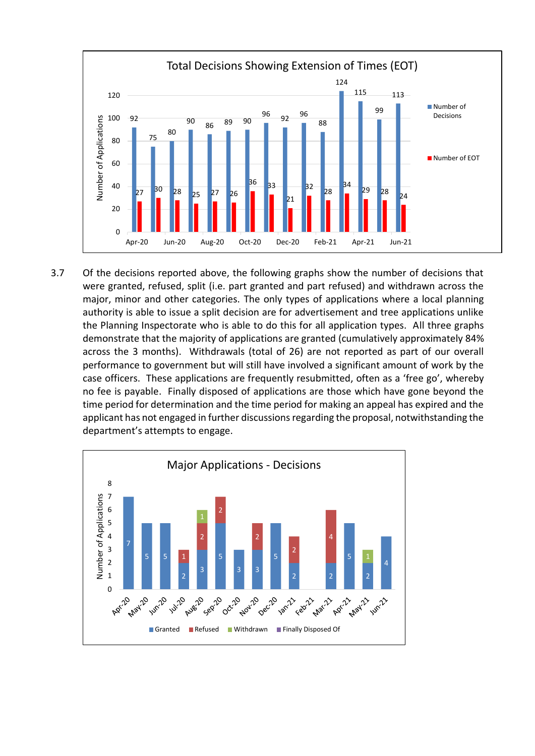

3.7 Of the decisions reported above, the following graphs show the number of decisions that were granted, refused, split (i.e. part granted and part refused) and withdrawn across the major, minor and other categories. The only types of applications where a local planning authority is able to issue a split decision are for advertisement and tree applications unlike the Planning Inspectorate who is able to do this for all application types. All three graphs demonstrate that the majority of applications are granted (cumulatively approximately 84% across the 3 months). Withdrawals (total of 26) are not reported as part of our overall performance to government but will still have involved a significant amount of work by the case officers. These applications are frequently resubmitted, often as a 'free go', whereby no fee is payable. Finally disposed of applications are those which have gone beyond the time period for determination and the time period for making an appeal has expired and the applicant has not engaged in further discussions regarding the proposal, notwithstanding the department's attempts to engage.

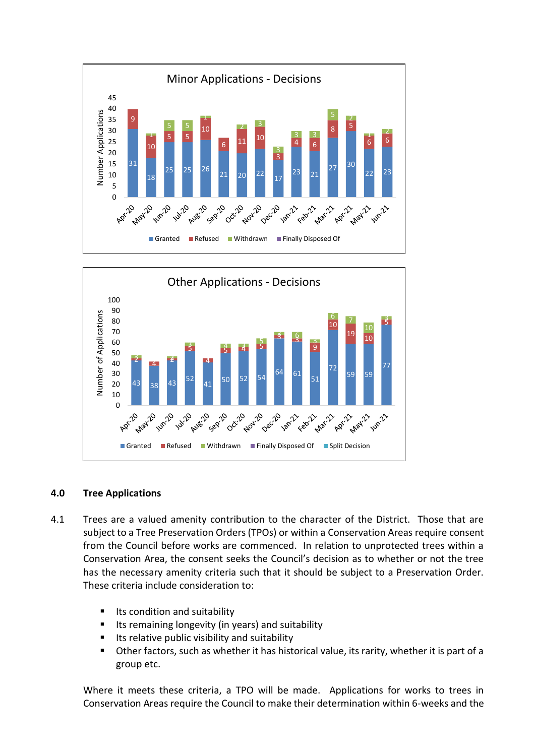



# **4.0 Tree Applications**

- 4.1 Trees are a valued amenity contribution to the character of the District. Those that are subject to a Tree Preservation Orders (TPOs) or within a Conservation Areas require consent from the Council before works are commenced. In relation to unprotected trees within a Conservation Area, the consent seeks the Council's decision as to whether or not the tree has the necessary amenity criteria such that it should be subject to a Preservation Order. These criteria include consideration to:
	- $\blacksquare$  Its condition and suitability
	- **If Langlering in all in the set of the UV** in years) and suitability
	- Its relative public visibility and suitability
	- Other factors, such as whether it has historical value, its rarity, whether it is part of a group etc.

Where it meets these criteria, a TPO will be made. Applications for works to trees in Conservation Areas require the Council to make their determination within 6-weeks and the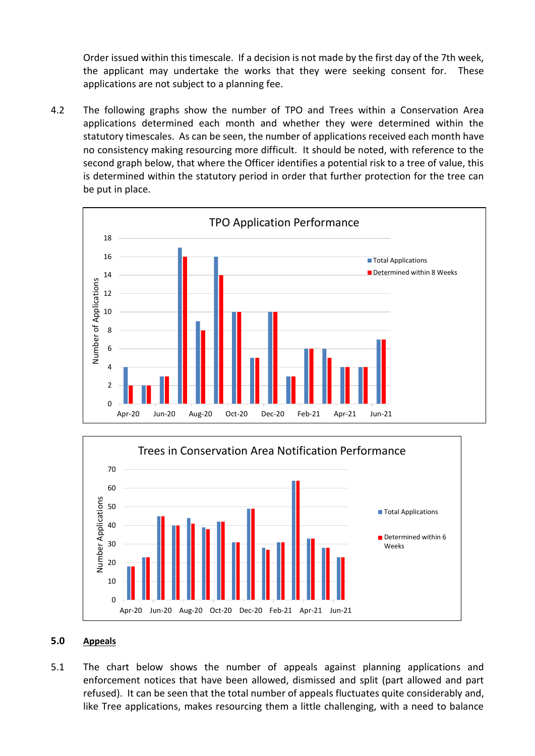Order issued within this timescale. If a decision is not made by the first day of the 7th week, the applicant may undertake the works that they were seeking consent for. These applications are not subject to a planning fee.

4.2 The following graphs show the number of TPO and Trees within a Conservation Area applications determined each month and whether they were determined within the statutory timescales. As can be seen, the number of applications received each month have no consistency making resourcing more difficult. It should be noted, with reference to the second graph below, that where the Officer identifies a potential risk to a tree of value, this is determined within the statutory period in order that further protection for the tree can be put in place.





# **5.0 Appeals**

5.1 The chart below shows the number of appeals against planning applications and enforcement notices that have been allowed, dismissed and split (part allowed and part refused). It can be seen that the total number of appeals fluctuates quite considerably and, like Tree applications, makes resourcing them a little challenging, with a need to balance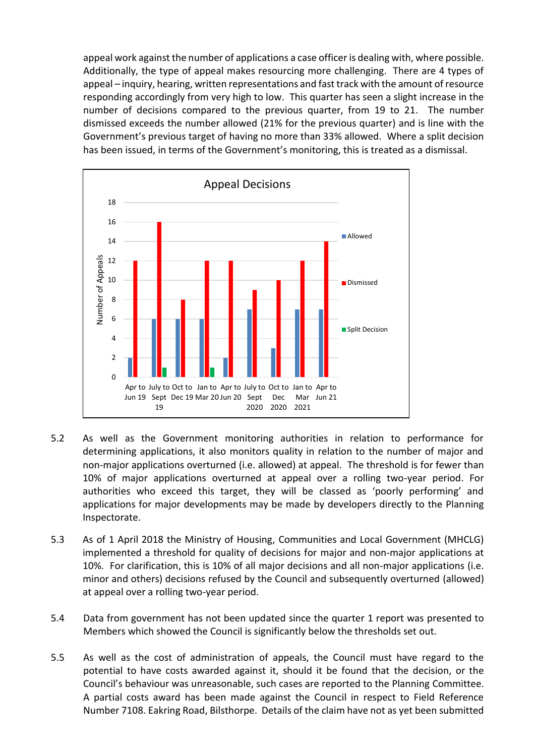appeal work against the number of applications a case officer is dealing with, where possible. Additionally, the type of appeal makes resourcing more challenging. There are 4 types of appeal – inquiry, hearing, written representations and fast track with the amount of resource responding accordingly from very high to low. This quarter has seen a slight increase in the number of decisions compared to the previous quarter, from 19 to 21. The number dismissed exceeds the number allowed (21% for the previous quarter) and is line with the Government's previous target of having no more than 33% allowed. Where a split decision has been issued, in terms of the Government's monitoring, this is treated as a dismissal.



- 5.2 As well as the Government monitoring authorities in relation to performance for determining applications, it also monitors quality in relation to the number of major and non-major applications overturned (i.e. allowed) at appeal. The threshold is for fewer than 10% of major applications overturned at appeal over a rolling two-year period. For authorities who exceed this target, they will be classed as 'poorly performing' and applications for major developments may be made by developers directly to the Planning Inspectorate.
- 5.3 As of 1 April 2018 the Ministry of Housing, Communities and Local Government (MHCLG) implemented a threshold for quality of decisions for major and non-major applications at 10%. For clarification, this is 10% of all major decisions and all non-major applications (i.e. minor and others) decisions refused by the Council and subsequently overturned (allowed) at appeal over a rolling two-year period.
- 5.4 Data from government has not been updated since the quarter 1 report was presented to Members which showed the Council is significantly below the thresholds set out.
- 5.5 As well as the cost of administration of appeals, the Council must have regard to the potential to have costs awarded against it, should it be found that the decision, or the Council's behaviour was unreasonable, such cases are reported to the Planning Committee. A partial costs award has been made against the Council in respect to Field Reference Number 7108. Eakring Road, Bilsthorpe. Details of the claim have not as yet been submitted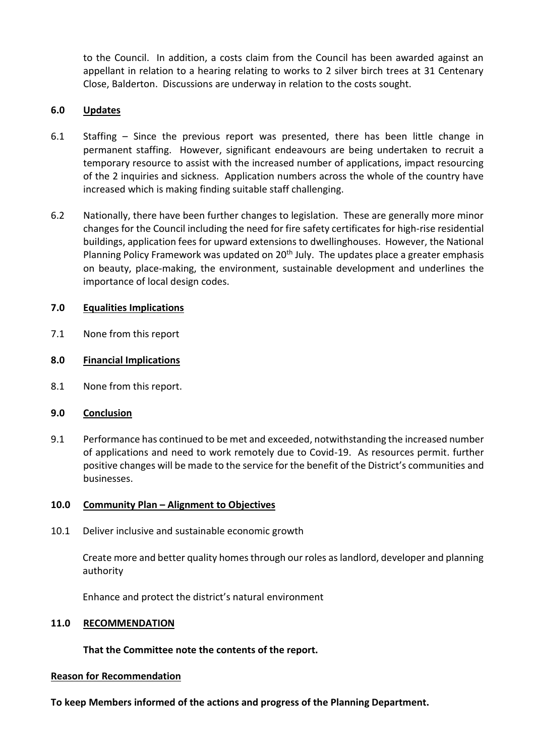to the Council. In addition, a costs claim from the Council has been awarded against an appellant in relation to a hearing relating to works to 2 silver birch trees at 31 Centenary Close, Balderton. Discussions are underway in relation to the costs sought.

# **6.0 Updates**

- 6.1 Staffing Since the previous report was presented, there has been little change in permanent staffing. However, significant endeavours are being undertaken to recruit a temporary resource to assist with the increased number of applications, impact resourcing of the 2 inquiries and sickness. Application numbers across the whole of the country have increased which is making finding suitable staff challenging.
- 6.2 Nationally, there have been further changes to legislation. These are generally more minor changes for the Council including the need for fire safety certificates for high-rise residential buildings, application fees for upward extensions to dwellinghouses. However, the National Planning Policy Framework was updated on  $20<sup>th</sup>$  July. The updates place a greater emphasis on beauty, place-making, the environment, sustainable development and underlines the importance of local design codes.

# **7.0 Equalities Implications**

- 7.1 None from this report
- **8.0 Financial Implications**
- 8.1 None from this report.

# **9.0 Conclusion**

9.1 Performance has continued to be met and exceeded, notwithstanding the increased number of applications and need to work remotely due to Covid-19. As resources permit. further positive changes will be made to the service for the benefit of the District's communities and businesses.

# **10.0 Community Plan – Alignment to Objectives**

10.1 Deliver inclusive and sustainable economic growth

Create more and better quality homes through our roles as landlord, developer and planning authority

Enhance and protect the district's natural environment

# **11.0 RECOMMENDATION**

**That the Committee note the contents of the report.**

#### **Reason for Recommendation**

**To keep Members informed of the actions and progress of the Planning Department.**